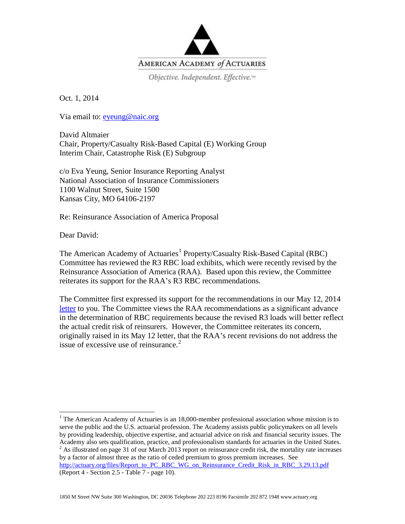

Objective. Independent. Effective.<sup>14</sup>

Oct. 1, 2014

Via email to: [eyeung@naic.org](mailto:eyeung@naic.org) 

David Altmaier Chair, Property/Casualty Risk-Based Capital (E) Working Group Interim Chair, Catastrophe Risk (E) Subgroup

c/o Eva Yeung, Senior Insurance Reporting Analyst National Association of Insurance Commissioners 1100 Walnut Street, Suite 1500 Kansas City, MO 64106-2197

Re: Reinsurance Association of America Proposal

Dear David:

The American Academy of Actuaries<sup>[1](#page-0-0)</sup> Property/Casualty Risk-Based Capital (RBC) Committee has reviewed the R3 RBC load exhibits, which were recently revised by the Reinsurance Association of America (RAA). Based upon this review, the Committee reiterates its support for the RAA's R3 RBC recommendations.

The Committee first expressed its support for the recommendations in our May 12, 2014 [letter](http://actuary.org/files/Report_to_PC_RBC_WG_on_Reinsurance_Association_of_America_updated_proposal_5.12.14.pdf) to you. The Committee views the RAA recommendations as a significant advance in the determination of RBC requirements because the revised R3 loads will better reflect the actual credit risk of reinsurers. However, the Committee reiterates its concern, originally raised in its May 12 letter, that the RAA's recent revisions do not address the issue of excessive use of reinsurance. [2](#page-0-1)

1850 M Street NW Suite 300 Washington, DC 20036 Telephone 202 223 8196 Facsimile 202 872 1948 www.actuary.org

<span id="page-0-1"></span><span id="page-0-0"></span> $1$  The American Academy of Actuaries is an 18,000-member professional association whose mission is to serve the public and the U.S. actuarial profession. The Academy assists public policymakers on all levels by providing leadership, objective expertise, and actuarial advice on risk and financial security issues. The Academy also sets qualification, practice, and professionalism standards for actuaries in the United States. <sup>2</sup> As illustrated on page 31 of our March 2013 report on reinsurance credit risk, the mortality rate increases by a factor of almost three as the ratio of ceded premium to gross premium increases. See [http://actuary.org/files/Report\\_to\\_PC\\_RBC\\_WG\\_on\\_Reinsurance\\_Credit\\_Risk\\_in\\_RBC\\_3.29.13.pdf](http://actuary.org/files/Report_to_PC_RBC_WG_on_Reinsurance_Credit_Risk_in_RBC_3.29.13.pdf) (Report 4 - Section 2.5 - Table 7 - page 10).